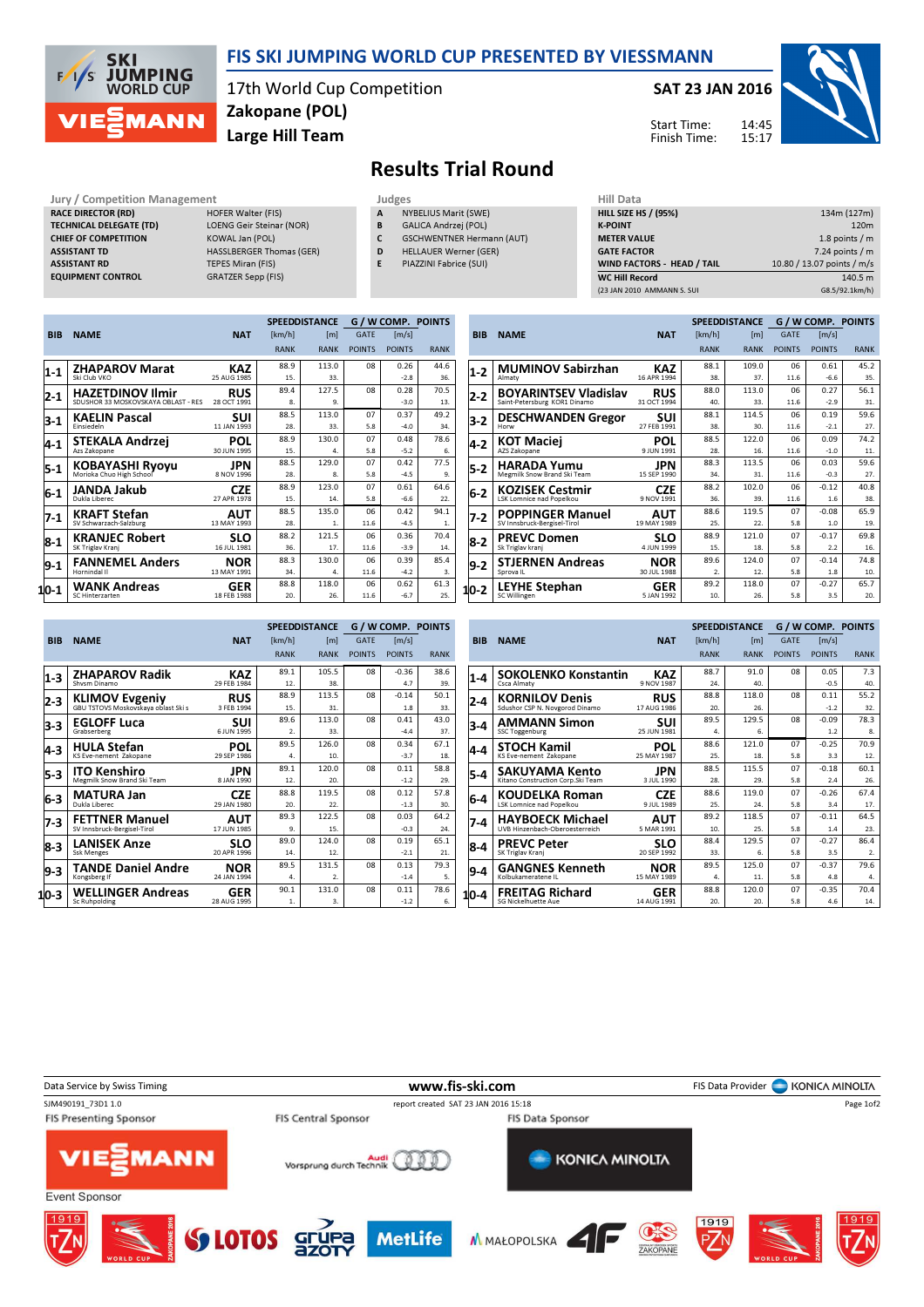

## FIS SKI JUMPING WORLD CUP PRESENTED BY VIESSMANN

17th World Cup Competition Large Hill Team Zakopane (POL)

## SAT 23 JAN 2016



Start Time: Finish Time:

Results Trial Round

Jury / Competition Management **Judges** Judges Hill Data Hill Data Reception Management Judges Hill Data Reception And Hill Data Reception And Hill Data Reception And Hill Data Reception And Hill SIZE RACE DIRECTOR (RD) TECHNICAL DELEGATE (TD) LOENG Geir Steinar (NOR) CHIEF OF COMPETITION KOWAL Jan (POL) ASSISTANT TD HASSLBERGER Thomas (GER) ASSISTANT RD TEPES Miran (FIS) EQUIPMENT CONTROL GRATZER Sepp (FIS)

- 
- 
- **NYBELIUS Marit (SWE)** B GALICA Andrzej (POL)
- C GSCHWENTNER Hermann (AUT)
- D HELLAUER Werner (GER)
- E PIAZZINI Fabrice (SUI)

| ніі рата                    |                            |
|-----------------------------|----------------------------|
| <b>HILL SIZE HS / (95%)</b> | 134m (127m)                |
| <b>K-POINT</b>              | 120 <sub>m</sub>           |
| <b>METER VALUE</b>          | 1.8 points $/m$            |
| <b>GATE FACTOR</b>          | $7.24$ points / m          |
| WIND FACTORS - HEAD / TAIL  | 10.80 / 13.07 points / m/s |
| <b>WC Hill Record</b>       | 140.5 m                    |
| (23 JAN 2010 AMMANN S. SUI  | G8.5/92.1km/h)             |

|            |                                                    |             |             | <b>SPEEDDISTANCE</b> | <b>G/WCOMP. POINTS</b> |               |             |  |
|------------|----------------------------------------------------|-------------|-------------|----------------------|------------------------|---------------|-------------|--|
| <b>BIB</b> | <b>NAME</b>                                        | <b>NAT</b>  | [km/h]      | [m]                  | <b>GATE</b>            | [m/s]         |             |  |
|            |                                                    |             | <b>RANK</b> | <b>RANK</b>          | <b>POINTS</b>          | <b>POINTS</b> | <b>RANK</b> |  |
| $1 - 1$    | <b>ZHAPAROV Marat</b>                              | KAZ         | 88.9        | 113.0                | 08                     | 0.26          | 44.6        |  |
|            | Ski Club VKO                                       | 25 AUG 1985 | 15.         | 33.                  |                        | $-2.8$        | 36.         |  |
| 2-1        | <b>HAZETDINOV Ilmir</b>                            | <b>RUS</b>  | 89.4        | 127.5                | 08                     | 0.28          | 70.5        |  |
|            | SDUSHOR 33 MOSKOVSKAYA OBLAST - RES                | 28 OCT 1991 | 8.          | 9.                   |                        | $-3.0$        | 13.         |  |
| 3-1        | <b>KAELIN Pascal</b>                               | SUI         | 88.5        | 113.0                | 07                     | 0.37          | 49.2        |  |
|            | Finsiedeln                                         | 11 JAN 1993 | 28.         | 33.                  | 5.8                    | $-4.0$        | 34.         |  |
| 4-1        | STEKALA Andrzej                                    | <b>POL</b>  | 88.9        | 130.0                | 07                     | 0.48          | 78.6        |  |
|            | Azs Zakopane                                       | 30 JUN 1995 | 15.         | 4.                   | 5.8                    | $-5.2$        | 6.          |  |
| 5-1        | <b>KOBAYASHI Ryoyu</b><br>Morioka Chuo High School | JPN         | 88.5        | 129.0                | 07                     | 0.42          | 77.5        |  |
|            |                                                    | 8 NOV 1996  | 28.         | 8.                   | 5.8                    | $-4.5$        | 9.          |  |
| 16-1       | JANDA Jakub                                        | <b>CZE</b>  | 88.9        | 123.0                | 07                     | 0.61          | 64.6        |  |
|            | Dukla Liberec                                      | 27 APR 1978 | 15.         | 14.                  | 5.8                    | $-6.6$        | 22.         |  |
| $7-1$      | <b>KRAFT Stefan</b>                                | <b>AUT</b>  | 88.5        | 135.0                | 06                     | 0.42          | 94.1        |  |
|            | SV Schwarzach-Salzburg                             | 13 MAY 1993 | 28.         | 1.                   | 11.6                   | $-4.5$        | 1.          |  |
| 8-1        | <b>KRANJEC Robert</b>                              | SLO         | 88.2        | 121.5                | 06                     | 0.36          | 70.4        |  |
|            | SK Triglav Kranj                                   | 16 JUL 1981 | 36.         | 17.                  | 11.6                   | $-3.9$        | 14.         |  |
| $ 9-1 $    | <b>FANNEMEL Anders</b>                             | <b>NOR</b>  | 88.3        | 130.0                | 06                     | 0.39          | 85.4        |  |
|            | Hornindal II                                       | 13 MAY 1991 | 34.         | 4.                   | 11.6                   | $-4.2$        | 3.          |  |
| 110-1      | <b>WANK Andreas</b>                                | <b>GER</b>  | 88.8        | 118.0                | 06                     | 0.62          | 61.3        |  |
|            | SC Hinterzarten                                    | 18 FEB 1988 | 20.         | 26.                  | 11.6                   | $-6.7$        | 25.         |  |

|            |                              |             |                | <b>SPEEDDISTANCE</b> |               | G / W COMP. POINTS    |             |
|------------|------------------------------|-------------|----------------|----------------------|---------------|-----------------------|-------------|
| <b>BIB</b> | <b>NAME</b>                  | <b>NAT</b>  | [km/h]         | [ml]                 | <b>GATE</b>   | $\lfloor m/s \rfloor$ |             |
|            |                              |             | <b>RANK</b>    | <b>RANK</b>          | <b>POINTS</b> | <b>POINTS</b>         | <b>RANK</b> |
| $1-2$      | <b>MUMINOV Sabirzhan</b>     | <b>KAZ</b>  | 88.1           | 109.0                | 06            | 0.61                  | 45.2        |
|            | Almaty                       | 16 APR 1994 | 38.            | 37.                  | 11.6          | $-6.6$                | 35.         |
| 2-2        | <b>BOYARINTSEV Vladislav</b> | <b>RUS</b>  | 88.0           | 113.0                | 06            | 0.27                  | 56.1        |
|            | Saint-Petersburg KOR1 Dinamo | 31 OCT 1994 | 40.            | 33.                  | 11.6          | $-2.9$                | 31.         |
| 3-2        | <b>DESCHWANDEN Gregor</b>    | SUI         | 88.1           | 114.5                | 06            | 0.19                  | 59.6        |
|            | Horw                         | 27 FEB 1991 | 38.            | 30.                  | 11.6          | $-2.1$                | 27.         |
| 4-2        | <b>KOT Maciej</b>            | <b>POL</b>  | 88.5           | 122.0                | 06            | 0.09                  | 74.2        |
|            | AZS Zakopane                 | 9 JUN 1991  | 28.            | 16.                  | 11.6          | $-1.0$                | 11.         |
| 5-2        | <b>HARADA Yumu</b>           | JPN         | 88.3           | 113.5                | 06            | 0.03                  | 59.6        |
|            | Megmilk Snow Brand Ski Team  | 15 SEP 1990 | 34.            | 31.                  | 11.6          | $-0.3$                | 27.         |
| 6-2        | <b>KOZISEK Cestmir</b>       | <b>CZE</b>  | 88.2           | 102.0                | 06            | $-0.12$               | 40.8        |
|            | LSK Lomnice nad Popelkou     | 9 NOV 1991  | 36.            | 39.                  | 11.6          | 1.6                   | 38.         |
| 7-2        | <b>POPPINGER Manuel</b>      | AUT         | 88.6           | 119.5                | 07            | $-0.08$               | 65.9        |
|            | SV Innsbruck-Bergisel-Tirol  | 19 MAY 1989 | 25.            | 22.                  | 5.8           | 1.0                   | 19.         |
| 8-2        | <b>PREVC Domen</b>           | SLO         | 88.9           | 121.0                | 07            | $-0.17$               | 69.8        |
|            | Sk Triglav kranj             | 4 JUN 1999  | 15.            | 18.                  | 5.8           | 2.2                   | 16.         |
| 9-2        | <b>STJERNEN Andreas</b>      | <b>NOR</b>  | 89.6           | 124.0                | 07            | $-0.14$               | 74.8        |
|            | Sprova IL                    | 30 JUL 1988 | $\overline{2}$ | 12.                  | 5.8           | 1.8                   | 10.         |
| 10-2       | <b>LEYHE Stephan</b>         | <b>GER</b>  | 89.2           | 118.0                | 07            | $-0.27$               | 65.7        |
|            | SC Willingen                 | 5 JAN 1992  | 10.            | 26.                  | 5.8           | 3.5                   | 20.         |

|            |                                                              |             |             | <b>SPEEDDISTANCE</b> |               | <b>G/WCOMP. POINTS</b> |             |
|------------|--------------------------------------------------------------|-------------|-------------|----------------------|---------------|------------------------|-------------|
| <b>BIB</b> | <b>NAME</b>                                                  | <b>NAT</b>  | [km/h]      | [m]                  | <b>GATE</b>   | $\lceil m/s \rceil$    |             |
|            |                                                              |             | <b>RANK</b> | <b>RANK</b>          | <b>POINTS</b> | <b>POINTS</b>          | <b>RANK</b> |
| $1-3$      | <b>ZHAPAROV Radik</b>                                        | KAZ         | 89.1        | 105.5                | 08            | $-0.36$                | 38.6        |
|            | Shysm Dinamo                                                 | 29 FEB 1984 | 12.         | 38.                  |               | 4.7                    | 39.         |
| 2-3        | <b>KLIMOV Evgeniy</b><br>GBU TSTOVS Moskovskaya oblast Ski s | <b>RUS</b>  | 88.9        | 113.5                | 08            | $-0.14$                | 50.1        |
|            |                                                              | 3 FFB 1994  | 15.         | 31.                  |               | 1.8                    | 33.         |
| 3-3        | <b>EGLOFF Luca</b>                                           | SUI         | 89.6        | 113.0                | 08            | 0.41                   | 43.0        |
|            | Grabserberg                                                  | 6 JUN 1995  | 2.          | 33.                  |               | $-4.4$                 | 37.         |
| 4-3        | <b>HULA Stefan</b>                                           | POL         | 89.5        | 126.0                | 08            | 0.34                   | 67.1        |
|            | KS Eve-nement Zakopane                                       | 29 SEP 1986 | 4.          | 10.                  |               | $-3.7$                 | 18.         |
| 5-3        | <b>ITO Kenshiro</b>                                          | JPN         | 89.1        | 120.0                | 08            | 0.11                   | 58.8        |
|            | Megmilk Snow Brand Ski Team                                  | 8 JAN 1990  | 12.         | 20.                  |               | $-1.2$                 | 29.         |
| 6-3        | <b>MATURA Jan</b>                                            | <b>CZE</b>  | 88.8        | 119.5                | 08            | 0.12                   | 57.8        |
|            | Dukla Liberec                                                | 29 JAN 1980 | 20.         | 22.                  |               | $-1.3$                 | 30.         |
| 7-3        | <b>FETTNER Manuel</b>                                        | AUT         | 89.3        | 122.5                | 08            | 0.03                   | 64.2        |
|            | SV Innsbruck-Bergisel-Tirol                                  | 17 JUN 1985 | 9.          | 15.                  |               | $-0.3$                 | 24.         |
| 8-3        | <b>LANISEK Anze</b>                                          | SLO         | 89.0        | 124.0                | 08            | 0.19                   | 65.1        |
|            | Ssk Menges                                                   | 20 APR 1996 | 14.         | 12.                  |               | $-2.1$                 | 21.         |
| 9-3        | <b>TANDE Daniel Andre</b>                                    | NOR         | 89.5        | 131.5                | 08            | 0.13                   | 79.3        |
|            | Kongsberg If                                                 | 24 JAN 1994 | 4.          | $\mathcal{D}$ .      |               | $-1.4$                 | 5.          |
| 110-3      | <b>WELLINGER Andreas</b>                                     | <b>GER</b>  | 90.1        | 131.0                | 08            | 0.11                   | 78.6        |
|            | Sc Ruhpolding                                                | 28 AUG 1995 | 1.          | 3.                   |               | $-1.2$                 | 6.          |

|            |                                   |             |             | <b>SPEEDDISTANCE</b> |               | <b>G/W COMP. POINTS</b> |             |
|------------|-----------------------------------|-------------|-------------|----------------------|---------------|-------------------------|-------------|
| <b>BIB</b> | <b>NAME</b>                       | <b>NAT</b>  | [km/h]      | [m]                  | <b>GATE</b>   | $\lfloor m/s \rfloor$   |             |
|            |                                   |             | <b>RANK</b> | <b>RANK</b>          | <b>POINTS</b> | <b>POINTS</b>           | <b>RANK</b> |
| $1 - 4$    | <b>SOKOLENKO Konstantin</b>       | KAZ         | 88.7        | 91.0                 | 08            | 0.05                    | 7.3         |
|            | Csca Almaty                       | 9 NOV 1987  | 24.         | 40.                  |               | $-0.5$                  | 40.         |
| 2-4        | <b>KORNILOV Denis</b>             | <b>RUS</b>  | 88.8        | 118.0                | 08            | 0.11                    | 55.2        |
|            | Sdushor CSP N. Novgorod Dinamo    | 17 AUG 1986 | 20.         | 26.                  |               | $-1.2$                  | 32.         |
| 3-4        | <b>AMMANN Simon</b>               | SUI         | 89.5        | 129.5                | 08            | $-0.09$                 | 78.3        |
|            | <b>SSC Toggenburg</b>             | 25 JUN 1981 | 4.          | б.                   |               | 1.2                     | 8.          |
| 4-4        | <b>STOCH Kamil</b>                | <b>POL</b>  | 88.6        | 121.0                | 07            | $-0.25$                 | 70.9        |
|            | KS Eve-nement Zakopane            | 25 MAY 1987 | 25.         | 18.                  | 5.8           | 3.3                     | 12.         |
| 5-4        | SAKUYAMA Kento                    | JPN         | 88.5        | 115.5                | 07            | $-0.18$                 | 60.1        |
|            | Kitano Construction Corp.Ski Team | 3 JUL 1990  | 28.         | 29.                  | 5.8           | 2.4                     | 26.         |
| $6-4$      | <b>KOUDELKA Roman</b>             | <b>CZE</b>  | 88.6        | 119.0                | 07            | $-0.26$                 | 67.4        |
|            | LSK Lomnice nad Popelkou          | 9 JUL 1989  | 25.         | 24.                  | 5.8           | 3.4                     | 17.         |
| 7-4        | <b>HAYBOECK Michael</b>           | AUT         | 89.2        | 118.5                | 07            | $-0.11$                 | 64.5        |
|            | UVB Hinzenbach-Oberoesterreich    | 5 MAR 1991  | 10.         | 25.                  | 5.8           | 1.4                     | 23.         |
| 8-4        | <b>PREVC Peter</b>                | SLO         | 88.4        | 129.5                | 07            | $-0.27$                 | 86.4        |
|            | SK Triglav Kranj                  | 20 SEP 1992 | 33.         | 6.                   | 5.8           | 3.5                     | 2.          |
| 9-4        | <b>GANGNES Kenneth</b>            | <b>NOR</b>  | 89.5        | 125.0                | 07            | $-0.37$                 | 79.6        |
|            | Kolbukameratene II                | 15 MAY 1989 | 4.          | 11.                  | 5.8           | 4.8                     | 4.          |
| 110-4      | <b>FREITAG Richard</b>            | <b>GER</b>  | 88.8        | 120.0                | 07            | $-0.35$                 | 70.4        |
|            | SG Nickelhuette Aue               | 14 AUG 1991 | 20.         | 20.                  | 5.8           | 4.6                     | 14.         |